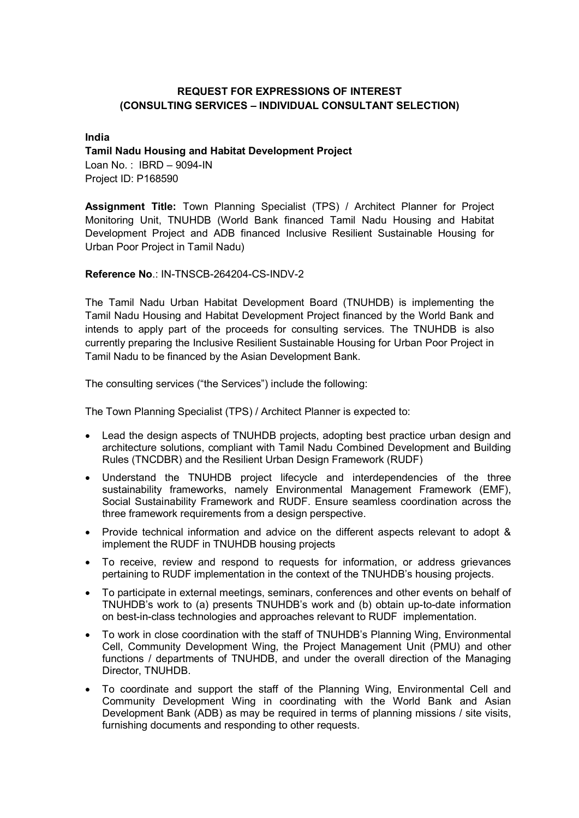# REQUEST FOR EXPRESSIONS OF INTEREST (CONSULTING SERVICES – INDIVIDUAL CONSULTANT SELECTION)

### India

### Tamil Nadu Housing and Habitat Development Project

Loan No. : IBRD – 9094-IN Project ID: P168590

Assignment Title: Town Planning Specialist (TPS) / Architect Planner for Project Monitoring Unit, TNUHDB (World Bank financed Tamil Nadu Housing and Habitat Development Project and ADB financed Inclusive Resilient Sustainable Housing for Urban Poor Project in Tamil Nadu)

## Reference No.: IN-TNSCB-264204-CS-INDV-2

The Tamil Nadu Urban Habitat Development Board (TNUHDB) is implementing the Tamil Nadu Housing and Habitat Development Project financed by the World Bank and intends to apply part of the proceeds for consulting services. The TNUHDB is also currently preparing the Inclusive Resilient Sustainable Housing for Urban Poor Project in Tamil Nadu to be financed by the Asian Development Bank.

The consulting services ("the Services") include the following:

The Town Planning Specialist (TPS) / Architect Planner is expected to:

- Lead the design aspects of TNUHDB projects, adopting best practice urban design and architecture solutions, compliant with Tamil Nadu Combined Development and Building Rules (TNCDBR) and the Resilient Urban Design Framework (RUDF)
- Understand the TNUHDB project lifecycle and interdependencies of the three sustainability frameworks, namely Environmental Management Framework (EMF), Social Sustainability Framework and RUDF. Ensure seamless coordination across the three framework requirements from a design perspective.
- Provide technical information and advice on the different aspects relevant to adopt & implement the RUDF in TNUHDB housing projects
- To receive, review and respond to requests for information, or address grievances pertaining to RUDF implementation in the context of the TNUHDB's housing projects.
- To participate in external meetings, seminars, conferences and other events on behalf of TNUHDB's work to (a) presents TNUHDB's work and (b) obtain up-to-date information on best-in-class technologies and approaches relevant to RUDF implementation.
- To work in close coordination with the staff of TNUHDB's Planning Wing, Environmental Cell, Community Development Wing, the Project Management Unit (PMU) and other functions / departments of TNUHDB, and under the overall direction of the Managing Director, TNUHDB.
- To coordinate and support the staff of the Planning Wing, Environmental Cell and Community Development Wing in coordinating with the World Bank and Asian Development Bank (ADB) as may be required in terms of planning missions / site visits, furnishing documents and responding to other requests.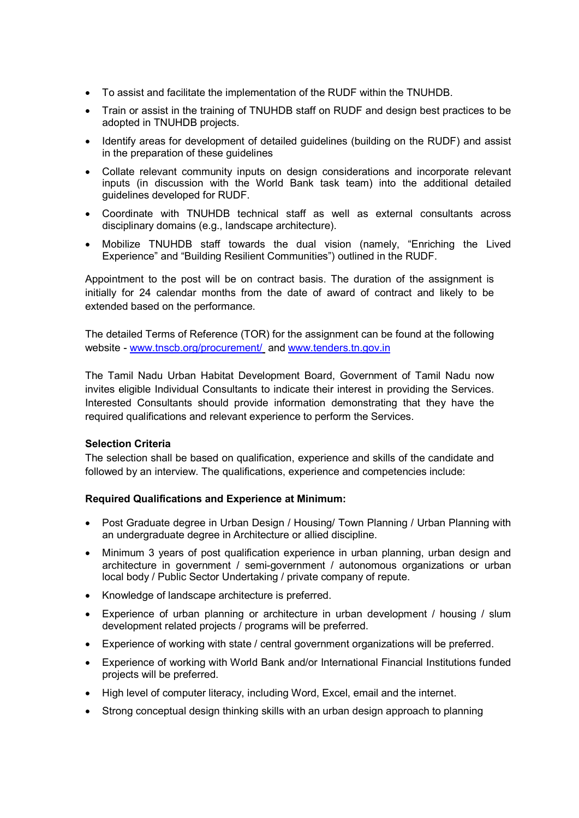- To assist and facilitate the implementation of the RUDF within the TNUHDB.
- Train or assist in the training of TNUHDB staff on RUDF and design best practices to be adopted in TNUHDB projects.
- Identify areas for development of detailed guidelines (building on the RUDF) and assist in the preparation of these guidelines
- Collate relevant community inputs on design considerations and incorporate relevant inputs (in discussion with the World Bank task team) into the additional detailed guidelines developed for RUDF.
- Coordinate with TNUHDB technical staff as well as external consultants across disciplinary domains (e.g., landscape architecture).
- Mobilize TNUHDB staff towards the dual vision (namely, "Enriching the Lived Experience" and "Building Resilient Communities") outlined in the RUDF.

Appointment to the post will be on contract basis. The duration of the assignment is initially for 24 calendar months from the date of award of contract and likely to be extended based on the performance.

The detailed Terms of Reference (TOR) for the assignment can be found at the following website - www.tnscb.org/procurement/ and www.tenders.tn.gov.in

The Tamil Nadu Urban Habitat Development Board, Government of Tamil Nadu now invites eligible Individual Consultants to indicate their interest in providing the Services. Interested Consultants should provide information demonstrating that they have the required qualifications and relevant experience to perform the Services.

## Selection Criteria

The selection shall be based on qualification, experience and skills of the candidate and followed by an interview. The qualifications, experience and competencies include:

## Required Qualifications and Experience at Minimum:

- Post Graduate degree in Urban Design / Housing/ Town Planning / Urban Planning with an undergraduate degree in Architecture or allied discipline.
- Minimum 3 years of post qualification experience in urban planning, urban design and architecture in government / semi-government / autonomous organizations or urban local body / Public Sector Undertaking / private company of repute.
- Knowledge of landscape architecture is preferred.
- Experience of urban planning or architecture in urban development / housing / slum development related projects / programs will be preferred.
- Experience of working with state / central government organizations will be preferred.
- Experience of working with World Bank and/or International Financial Institutions funded projects will be preferred.
- High level of computer literacy, including Word, Excel, email and the internet.
- Strong conceptual design thinking skills with an urban design approach to planning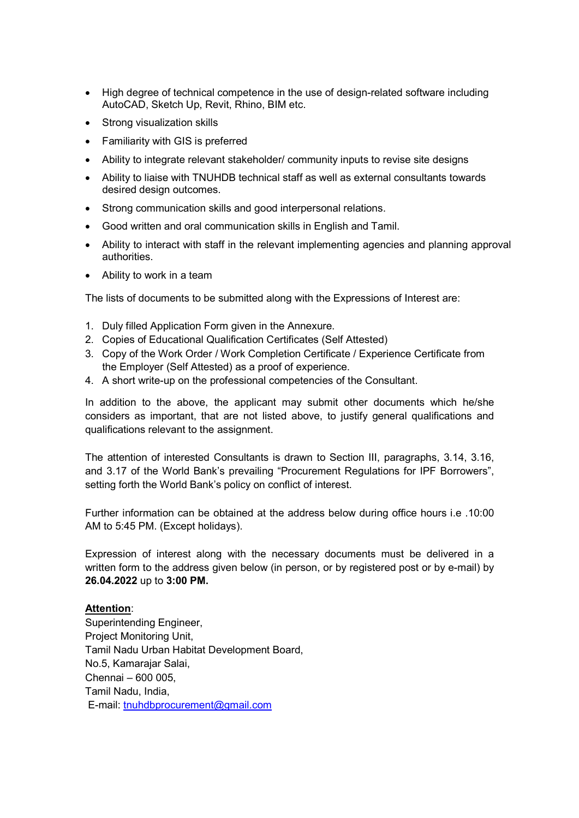- High degree of technical competence in the use of design-related software including AutoCAD, Sketch Up, Revit, Rhino, BIM etc.
- Strong visualization skills
- Familiarity with GIS is preferred
- Ability to integrate relevant stakeholder/ community inputs to revise site designs
- Ability to liaise with TNUHDB technical staff as well as external consultants towards desired design outcomes.
- Strong communication skills and good interpersonal relations.
- Good written and oral communication skills in English and Tamil.
- Ability to interact with staff in the relevant implementing agencies and planning approval authorities.
- Ability to work in a team

The lists of documents to be submitted along with the Expressions of Interest are:

- 1. Duly filled Application Form given in the Annexure.
- 2. Copies of Educational Qualification Certificates (Self Attested)
- 3. Copy of the Work Order / Work Completion Certificate / Experience Certificate from the Employer (Self Attested) as a proof of experience.
- 4. A short write-up on the professional competencies of the Consultant.

In addition to the above, the applicant may submit other documents which he/she considers as important, that are not listed above, to justify general qualifications and qualifications relevant to the assignment.

The attention of interested Consultants is drawn to Section III, paragraphs, 3.14, 3.16, and 3.17 of the World Bank's prevailing "Procurement Regulations for IPF Borrowers", setting forth the World Bank's policy on conflict of interest.

Further information can be obtained at the address below during office hours i.e .10:00 AM to 5:45 PM. (Except holidays).

Expression of interest along with the necessary documents must be delivered in a written form to the address given below (in person, or by registered post or by e-mail) by 26.04.2022 up to 3:00 PM.

### Attention:

Superintending Engineer, Project Monitoring Unit, Tamil Nadu Urban Habitat Development Board, No.5, Kamarajar Salai, Chennai – 600 005, Tamil Nadu, India, E-mail: tnuhdbprocurement@gmail.com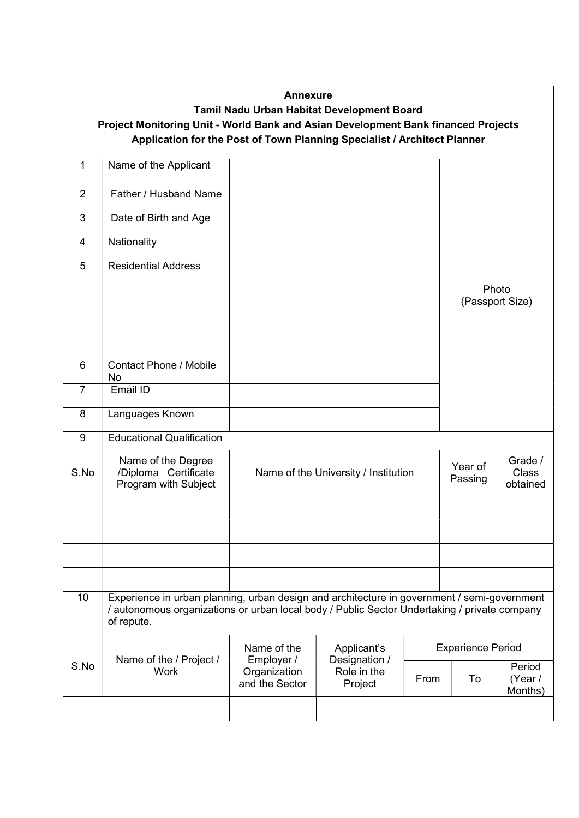| <b>Annexure</b><br>Tamil Nadu Urban Habitat Development Board<br>Project Monitoring Unit - World Bank and Asian Development Bank financed Projects<br>Application for the Post of Town Planning Specialist / Architect Planner |                                                                                                                                                                                                           |                                                             |                                                        |                                     |                          |                              |  |  |  |
|--------------------------------------------------------------------------------------------------------------------------------------------------------------------------------------------------------------------------------|-----------------------------------------------------------------------------------------------------------------------------------------------------------------------------------------------------------|-------------------------------------------------------------|--------------------------------------------------------|-------------------------------------|--------------------------|------------------------------|--|--|--|
| 1                                                                                                                                                                                                                              | Name of the Applicant                                                                                                                                                                                     |                                                             |                                                        |                                     |                          |                              |  |  |  |
| $\overline{2}$                                                                                                                                                                                                                 | Father / Husband Name                                                                                                                                                                                     |                                                             |                                                        |                                     |                          |                              |  |  |  |
| 3                                                                                                                                                                                                                              | Date of Birth and Age                                                                                                                                                                                     |                                                             |                                                        |                                     |                          |                              |  |  |  |
| 4                                                                                                                                                                                                                              | Nationality                                                                                                                                                                                               |                                                             |                                                        |                                     |                          |                              |  |  |  |
| 5                                                                                                                                                                                                                              | <b>Residential Address</b>                                                                                                                                                                                |                                                             |                                                        |                                     | Photo<br>(Passport Size) |                              |  |  |  |
| 6                                                                                                                                                                                                                              | <b>Contact Phone / Mobile</b><br><b>No</b>                                                                                                                                                                |                                                             |                                                        |                                     |                          |                              |  |  |  |
| $\overline{7}$                                                                                                                                                                                                                 | Email ID                                                                                                                                                                                                  |                                                             |                                                        |                                     |                          |                              |  |  |  |
| 8                                                                                                                                                                                                                              | Languages Known                                                                                                                                                                                           |                                                             |                                                        |                                     |                          |                              |  |  |  |
| 9                                                                                                                                                                                                                              | <b>Educational Qualification</b>                                                                                                                                                                          |                                                             |                                                        |                                     |                          |                              |  |  |  |
| S.No                                                                                                                                                                                                                           | Name of the Degree<br>/Diploma Certificate<br>Program with Subject                                                                                                                                        | Name of the University / Institution                        | Year of<br>Passing                                     | Grade /<br><b>Class</b><br>obtained |                          |                              |  |  |  |
|                                                                                                                                                                                                                                |                                                                                                                                                                                                           |                                                             |                                                        |                                     |                          |                              |  |  |  |
|                                                                                                                                                                                                                                |                                                                                                                                                                                                           |                                                             |                                                        |                                     |                          |                              |  |  |  |
|                                                                                                                                                                                                                                |                                                                                                                                                                                                           |                                                             |                                                        |                                     |                          |                              |  |  |  |
|                                                                                                                                                                                                                                |                                                                                                                                                                                                           |                                                             |                                                        |                                     |                          |                              |  |  |  |
| 10                                                                                                                                                                                                                             | Experience in urban planning, urban design and architecture in government / semi-government<br>/ autonomous organizations or urban local body / Public Sector Undertaking / private company<br>of repute. |                                                             |                                                        |                                     |                          |                              |  |  |  |
| S.No                                                                                                                                                                                                                           | Name of the / Project /<br><b>Work</b>                                                                                                                                                                    | Name of the<br>Employer /<br>Organization<br>and the Sector | Applicant's<br>Designation /<br>Role in the<br>Project | <b>Experience Period</b>            |                          |                              |  |  |  |
|                                                                                                                                                                                                                                |                                                                                                                                                                                                           |                                                             |                                                        | From                                | To                       | Period<br>(Year /<br>Months) |  |  |  |
|                                                                                                                                                                                                                                |                                                                                                                                                                                                           |                                                             |                                                        |                                     |                          |                              |  |  |  |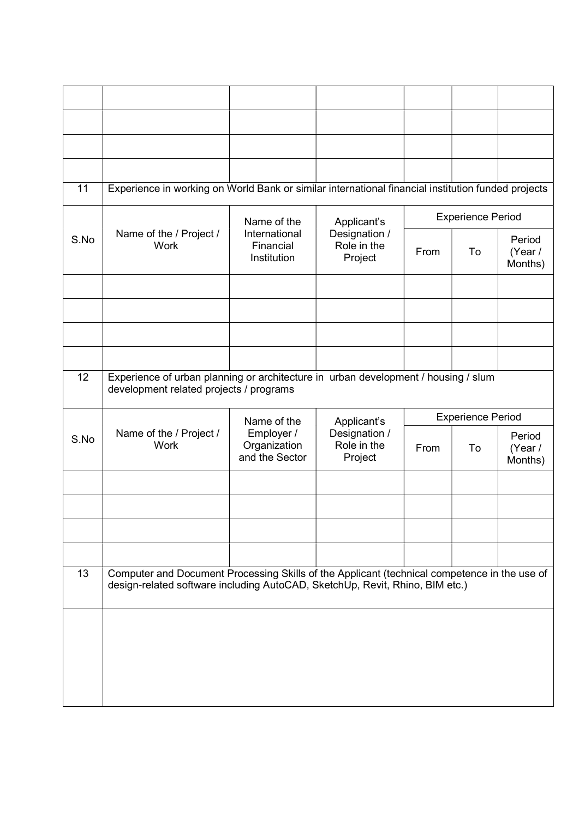| 11   | Experience in working on World Bank or similar international financial institution funded projects                                                                           |                                              |                                         |                          |                          |                              |
|------|------------------------------------------------------------------------------------------------------------------------------------------------------------------------------|----------------------------------------------|-----------------------------------------|--------------------------|--------------------------|------------------------------|
|      |                                                                                                                                                                              | Name of the                                  | Applicant's                             | <b>Experience Period</b> |                          |                              |
| S.No | Name of the / Project /<br><b>Work</b>                                                                                                                                       | International<br>Financial<br>Institution    | Designation /<br>Role in the<br>Project | From                     | To                       | Period<br>(Year /<br>Months) |
|      |                                                                                                                                                                              |                                              |                                         |                          |                          |                              |
|      |                                                                                                                                                                              |                                              |                                         |                          |                          |                              |
|      |                                                                                                                                                                              |                                              |                                         |                          |                          |                              |
|      |                                                                                                                                                                              |                                              |                                         |                          |                          |                              |
| 12   | Experience of urban planning or architecture in urban development / housing / slum<br>development related projects / programs                                                |                                              |                                         |                          |                          |                              |
|      |                                                                                                                                                                              |                                              |                                         |                          |                          |                              |
|      |                                                                                                                                                                              | Name of the                                  | Applicant's                             |                          | <b>Experience Period</b> |                              |
| S.No | Name of the / Project /<br><b>Work</b>                                                                                                                                       | Employer /<br>Organization<br>and the Sector | Designation /<br>Role in the<br>Project | From                     | To                       | Period<br>(Year /<br>Months) |
|      |                                                                                                                                                                              |                                              |                                         |                          |                          |                              |
|      |                                                                                                                                                                              |                                              |                                         |                          |                          |                              |
|      |                                                                                                                                                                              |                                              |                                         |                          |                          |                              |
|      |                                                                                                                                                                              |                                              |                                         |                          |                          |                              |
| 13   | Computer and Document Processing Skills of the Applicant (technical competence in the use of<br>design-related software including AutoCAD, SketchUp, Revit, Rhino, BIM etc.) |                                              |                                         |                          |                          |                              |